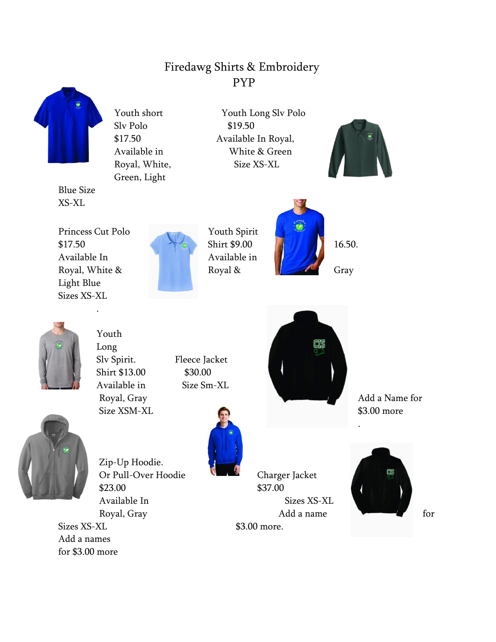## Firedawg Shirts & Embroidery PYP



Blue Size XS-XL

Slv Polo \$19.50 Green, Light

Youth short Youth Long Slv Polo \$17.50 Available In Royal, Available in White & Green Royal, White, Size XS-XL



Princess Cut Polo Youth Spirit  $$17.50$  Shirt  $$9.00$  16.50. Available In Available in Royal, White  $\&$  Royal  $\&$  Royal  $\&$  Gray Light Blue Sizes XS-XL

.







Youth Long Slv Spirit. Fleece Jacket Shirt \$13.00 \$30.00 Available in Size Sm-XL Royal, Gray Add a Name for Size XSM-XL \$3.00 more



Zip-Up Hoodie. Or Pull-Over Hoodie Charger Jacket \$23.00 \$37.00 Available In Sizes XS-XL

Sizes XS-XL \$3.00 more. Add a names for \$3.00 more



Royal, Gray **Add a name** for

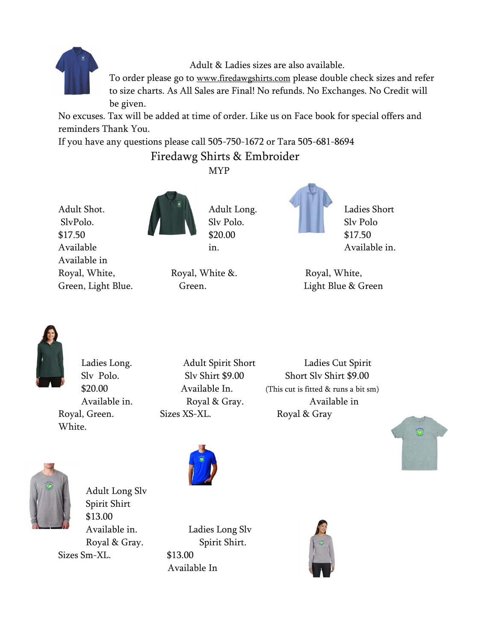

Adult & Ladies sizes are also available.

To order please go to [www.firedawgshirts.com](http://www.firedawgshirts.com/) please double check sizes and refer to size charts. As All Sales are Final! No refunds. No Exchanges. No Credit will be given.

No excuses. Tax will be added at time of order. Like us on Face book for special offers and reminders Thank You.

If you have any questions please call 505-750-1672 or Tara 505-681-8694

## Firedawg Shirts & Embroider

MYP

Adult Shot. Adult Long. Ladies Short SlvPolo. Slv Polo. Slv Polo. Slv Polo. Slv Polo  $$17.50$   $$20.00$   $$17.50$ Available in. The inclusion of the Available in. Available in



Royal, White, Royal, White &. Royal, White,



Green, Light Blue. Green. Contact Green. Light Blue & Green



White.

Royal, Green. Sizes XS-XL. Royal & Gray

Ladies Long. Adult Spirit Short Ladies Cut Spirit Slv Polo. Slv Shirt \$9.00 Short Slv Shirt \$9.00 \$20.00 Available In. (This cut is fitted & runs a bit sm) Available in. Royal & Gray. Available in





Adult Long Slv Spirit Shirt \$13.00 Sizes Sm-XL. \$13.00



Available in. Ladies Long Slv Royal & Gray. Spirit Shirt. Available In

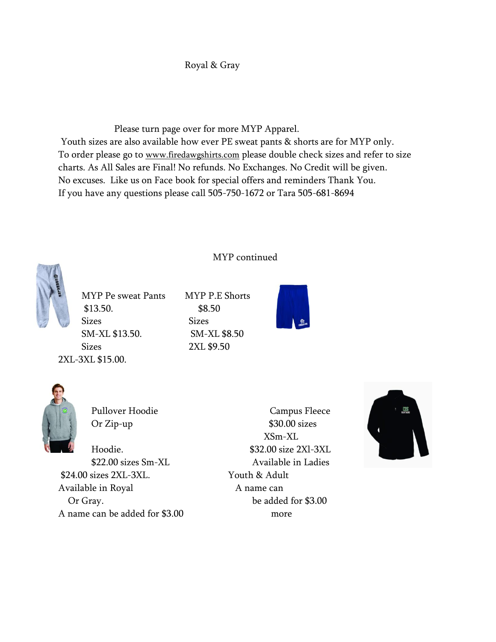## Royal & Gray

 Please turn page over for more MYP Apparel. Youth sizes are also available how ever PE sweat pants & shorts are for MYP only. To order please go to [www.firedawgshirts.com](http://www.firedawgshirts.com/) please double check sizes and refer to size charts. As All Sales are Final! No refunds. No Exchanges. No Credit will be given. No excuses. Like us on Face book for special offers and reminders Thank You. If you have any questions please call 505-750-1672 or Tara 505-681-8694

MYP continued



MYP Pe sweat Pants MYP P.E Shorts \$13.50. \$8.50 Sizes Sizes SM-XL \$13.50. SM-XL \$8.50 Sizes 2XL \$9.50 2XL-3XL \$15.00.





\$24.00 sizes 2XL-3XL. Youth & Adult Available in Royal Aname can Or Gray. be added for \$3.00 A name can be added for \$3.00 more

Pullover Hoodie Campus Fleece Or Zip-up \$30.00 sizes XSm-XL Hoodie. \$32.00 size 2Xl-3XL \$22.00 sizes Sm-XL Available in Ladies